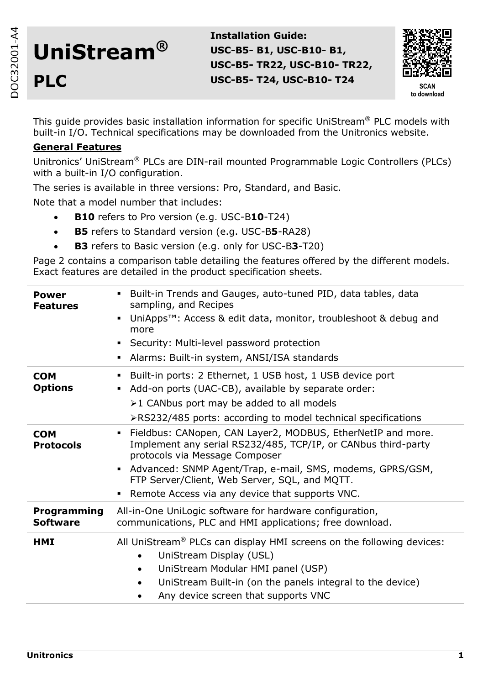# **UniStream® PLC**

**Installation Guide: USC-B5- B1, USC-B10- B1, USC-B5- TR22, USC-B10- TR22, USC-B5- T24, USC-B10- T24**



This guide provides basic installation information for specific UniStream® PLC models with built-in I/O. Technical specifications may be downloaded from the Unitronics website.

# **General Features**

Unitronics' UniStream® PLCs are DIN-rail mounted Programmable Logic Controllers (PLCs) with a built-in I/O configuration.

The series is available in three versions: Pro, Standard, and Basic.

Note that a model number that includes:

- **B10** refers to Pro version (e.g. USC-B**10**-T24)
- **B5** refers to Standard version (e.g. USC-B**5**-RA28)
- **B3** refers to Basic version (e.g. only for USC-B**3**-T20)

Page 2 contains a comparison table detailing the features offered by the different models. Exact features are detailed in the product specification sheets.

| <b>Power</b><br><b>Features</b> | Built-in Trends and Gauges, auto-tuned PID, data tables, data<br>sampling, and Recipes<br>UniApps <sup>™</sup> : Access & edit data, monitor, troubleshoot & debug and<br>٠<br>more<br>Security: Multi-level password protection<br>Alarms: Built-in system, ANSI/ISA standards                                                                   |
|---------------------------------|---------------------------------------------------------------------------------------------------------------------------------------------------------------------------------------------------------------------------------------------------------------------------------------------------------------------------------------------------|
| <b>COM</b><br><b>Options</b>    | Built-in ports: 2 Ethernet, 1 USB host, 1 USB device port<br>Add-on ports (UAC-CB), available by separate order:<br>≻1 CANbus port may be added to all models<br>≻RS232/485 ports: according to model technical specifications                                                                                                                    |
| <b>COM</b><br><b>Protocols</b>  | Fieldbus: CANopen, CAN Layer2, MODBUS, EtherNetIP and more.<br>$\blacksquare$<br>Implement any serial RS232/485, TCP/IP, or CANbus third-party<br>protocols via Message Composer<br>Advanced: SNMP Agent/Trap, e-mail, SMS, modems, GPRS/GSM,<br>FTP Server/Client, Web Server, SQL, and MQTT.<br>Remote Access via any device that supports VNC. |
| Programming<br><b>Software</b>  | All-in-One UniLogic software for hardware configuration,<br>communications, PLC and HMI applications; free download.                                                                                                                                                                                                                              |
| HMI                             | All UniStream <sup>®</sup> PLCs can display HMI screens on the following devices:<br>UniStream Display (USL)<br>$\bullet$<br>UniStream Modular HMI panel (USP)<br>٠<br>UniStream Built-in (on the panels integral to the device)<br>Any device screen that supports VNC                                                                           |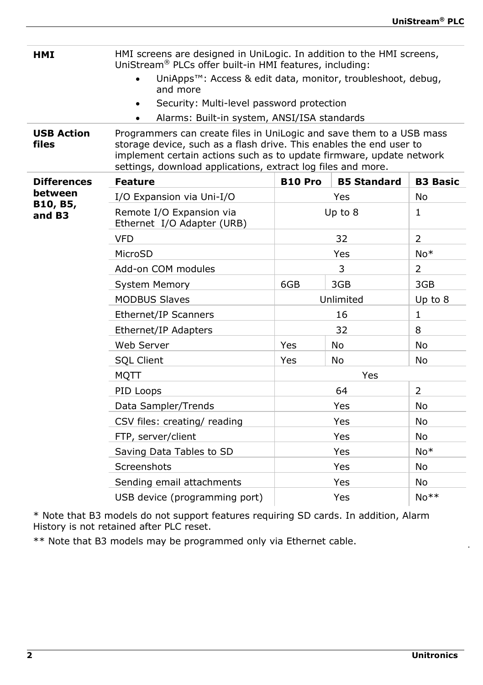**HMI** HMI screens are designed in UniLogic. In addition to the HMI screens, UniStream® PLCs offer built-in HMI features, including: UniApps™: Access & edit data, monitor, troubleshoot, debug, and more Security: Multi-level password protection Alarms: Built-in system, ANSI/ISA standards **USB Action files** Programmers can create files in UniLogic and save them to a USB mass storage device, such as a flash drive. This enables the end user to implement certain actions such as to update firmware, update network settings, download applications, extract log files and more. **Differences between B10, B5, and B3 Feature B10 Pro B5 Standard B3 Basic** I/O Expansion via Uni-I/O Yes No Remote I/O Expansion via Ethernet I/O Adapter (URB) Up to  $8$  | 1  $VFD$  32 2 MicroSD Yes No\* Add-on COM modules and a 3 2 System Memory 6GB 3GB 3GB 3GB MODBUS Slaves The Unlimited Up to 8 Ethernet/IP Scanners 16 16 1 Ethernet/IP Adapters 1988 1991 12 32 Web Server  $\overline{Y}$ es No No No No SQL Client Yes No No MQTT Yes PID Loops 64 2 Data Sampler/Trends No No No Yes No CSV files: creating/ reading The Mes FTP, server/client  $Y$ es No Saving Data Tables to SD No\* Yes No\* Screenshots Yes No Sending email attachments The Mess No USB device (programming port)  $|$  Yes  $|$  No<sup>\*\*</sup>

\* Note that B3 models do not support features requiring SD cards. In addition, Alarm History is not retained after PLC reset.

\*\* Note that B3 models may be programmed only via Ethernet cable.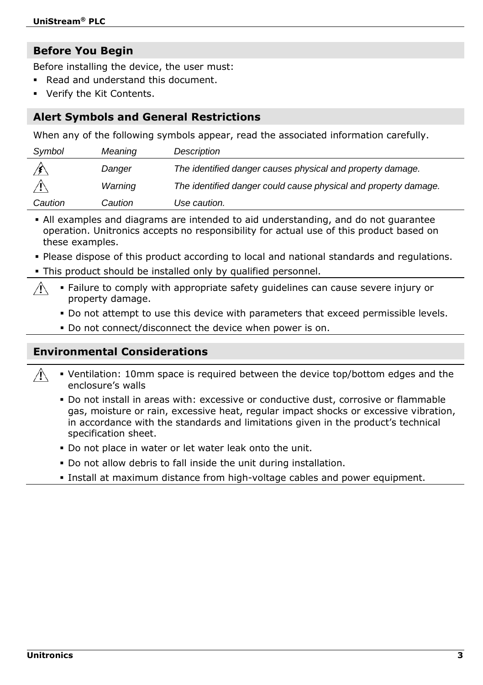# **Before You Begin**

Before installing the device, the user must:

- Read and understand this document.
- **Verify the Kit Contents.**

# **Alert Symbols and General Restrictions**

When any of the following symbols appear, read the associated information carefully.

| Symbol  | Meaning | Description                                                     |
|---------|---------|-----------------------------------------------------------------|
|         | Danger  | The identified danger causes physical and property damage.      |
|         | Warning | The identified danger could cause physical and property damage. |
| Caution | Caution | Use caution.                                                    |

 All examples and diagrams are intended to aid understanding, and do not guarantee operation. Unitronics accepts no responsibility for actual use of this product based on these examples.

- Please dispose of this product according to local and national standards and regulations.
- This product should be installed only by qualified personnel.
	- Failure to comply with appropriate safety guidelines can cause severe injury or property damage.
		- Do not attempt to use this device with parameters that exceed permissible levels.
		- Do not connect/disconnect the device when power is on.

# **Environmental Considerations**

- Ventilation: 10mm space is required between the device top/bottom edges and the enclosure's walls
	- Do not install in areas with: excessive or conductive dust, corrosive or flammable gas, moisture or rain, excessive heat, regular impact shocks or excessive vibration, in accordance with the standards and limitations given in the product's technical specification sheet.
	- Do not place in water or let water leak onto the unit.
	- Do not allow debris to fall inside the unit during installation.
	- Install at maximum distance from high-voltage cables and power equipment.

 $\sqrt{N}$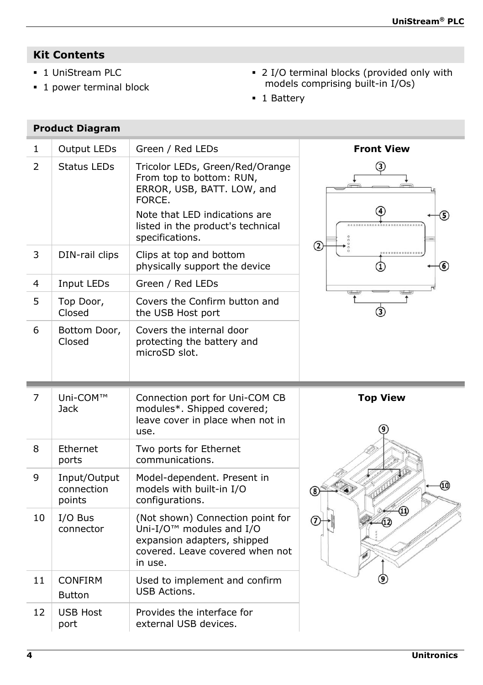# **Kit Contents**

**1** UniStream PLC

**Product Diagram**

**1** power terminal block

- 2 I/O terminal blocks (provided only with models comprising built-in I/Os)
- **1** Battery

| 1              | Output LEDs                          | Green / Red LEDs                                                                                                                                                          | <b>Front View</b> |
|----------------|--------------------------------------|---------------------------------------------------------------------------------------------------------------------------------------------------------------------------|-------------------|
| $\overline{2}$ | <b>Status LEDs</b>                   | Tricolor LEDs, Green/Red/Orange<br>From top to bottom: RUN,<br>ERROR, USB, BATT. LOW, and<br>FORCE.<br>Note that LED indications are<br>listed in the product's technical | ③                 |
| 3              | DIN-rail clips                       | specifications.<br>Clips at top and bottom                                                                                                                                | ②                 |
|                |                                      | physically support the device                                                                                                                                             | $\left( 6\right)$ |
| 4              | Input LEDs                           | Green / Red LEDs                                                                                                                                                          |                   |
| 5              | Top Door,<br>Closed                  | Covers the Confirm button and<br>the USB Host port                                                                                                                        | ઉ                 |
| 6              | Bottom Door,<br>Closed               | Covers the internal door<br>protecting the battery and<br>microSD slot.                                                                                                   |                   |
|                |                                      |                                                                                                                                                                           |                   |
| $\overline{7}$ | Uni-COM™<br>Jack                     | Connection port for Uni-COM CB<br>modules*. Shipped covered;<br>leave cover in place when not in<br>use.                                                                  | <b>Top View</b>   |
| 8              | Ethernet<br>ports                    | Two ports for Ethernet<br>communications.                                                                                                                                 |                   |
| 9              | Input/Output<br>connection<br>points | Model-dependent. Present in<br>models with built-in I/O<br>configurations.                                                                                                |                   |
| 10             | I/O Bus<br>connector                 | (Not shown) Connection point for<br>Uni-I/O <sup>™</sup> modules and I/O<br>expansion adapters, shipped<br>covered. Leave covered when not<br>in use.                     | $\Omega$          |
| 11             | <b>CONFIRM</b><br><b>Button</b>      | Used to implement and confirm<br><b>USB Actions.</b>                                                                                                                      |                   |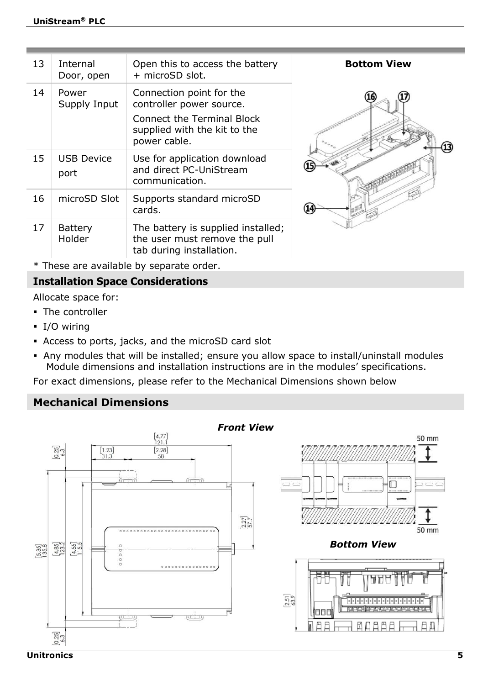| 13 | Internal<br>Door, open    | Open this to access the battery<br>+ microSD slot.                                                                                 | <b>Bottom View</b> |
|----|---------------------------|------------------------------------------------------------------------------------------------------------------------------------|--------------------|
| 14 | Power<br>Supply Input     | Connection point for the<br>controller power source.<br>Connect the Terminal Block<br>supplied with the kit to the<br>power cable. | 13)                |
| 15 | <b>USB Device</b><br>port | Use for application download<br>and direct PC-UniStream<br>communication.                                                          |                    |
| 16 | microSD Slot              | Supports standard microSD<br>cards.                                                                                                |                    |
| 17 | Battery<br>Holder         | The battery is supplied installed;<br>the user must remove the pull<br>tab during installation.                                    |                    |

\* These are available by separate order.

# **Installation Space Considerations**

Allocate space for:

- The controller
- **I/O wiring**
- Access to ports, jacks, and the microSD card slot
- Any modules that will be installed; ensure you allow space to install/uninstall modules Module dimensions and installation instructions are in the modules' specifications.

For exact dimensions, please refer to the Mechanical Dimensions shown below

## **Mechanical Dimensions**

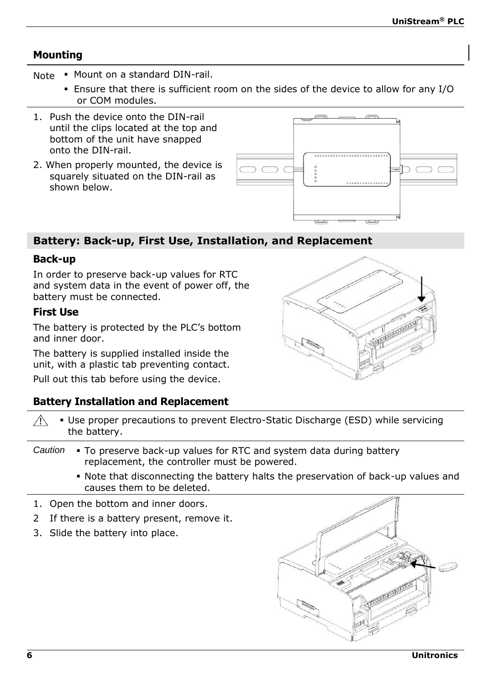# **Mounting**

- Note Mount on a standard DIN-rail.
	- Ensure that there is sufficient room on the sides of the device to allow for any I/O or COM modules.
- 1. Push the device onto the DIN-rail until the clips located at the top and bottom of the unit have snapped onto the DIN-rail.
- 2. When properly mounted, the device is squarely situated on the DIN-rail as shown below.



# **Battery: Back-up, First Use, Installation, and Replacement**

## **Back-up**

In order to preserve back-up values for RTC and system data in the event of power off, the battery must be connected.

## **First Use**

The battery is protected by the PLC's bottom and inner door.

The battery is supplied installed inside the unit, with a plastic tab preventing contact.

Pull out this tab before using the device.

# **Battery Installation and Replacement**

|         | <b>Battery Installation and Replacement</b>                                                                         |
|---------|---------------------------------------------------------------------------------------------------------------------|
| ∕Ւ      | • Use proper precautions to prevent Electro-Static Discharge (ESD) while servicing<br>the battery.                  |
| Caution | • To preserve back-up values for RTC and system data during battery<br>replacement, the controller must be powered. |
|         | • Note that disconnecting the battery halts the preservation of back-up values and<br>causes them to be deleted.    |

- 1. Open the bottom and inner doors.
- 2 If there is a battery present, remove it.
- 3. Slide the battery into place.



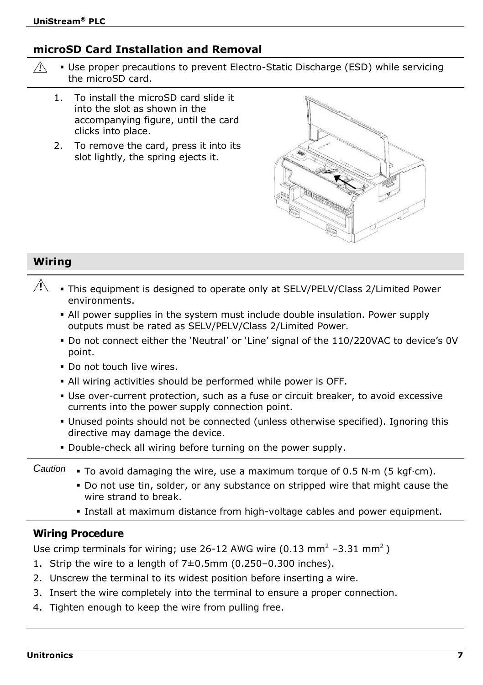# **microSD Card Installation and Removal**

- $\bigwedge$  Use proper precautions to prevent Electro-Static Discharge (ESD) while servicing the microSD card.
	- 1. To install the microSD card slide it into the slot as shown in the accompanying figure, until the card clicks into place.
	- 2. To remove the card, press it into its slot lightly, the spring ejects it.



# **Wiring**

- $\mathbb{A}$  This equipment is designed to operate only at SELV/PELV/Class 2/Limited Power environments.
	- All power supplies in the system must include double insulation. Power supply outputs must be rated as SELV/PELV/Class 2/Limited Power.
	- Do not connect either the 'Neutral' or 'Line' signal of the 110/220VAC to device's 0V point.
	- Do not touch live wires.
	- All wiring activities should be performed while power is OFF.
	- Use over-current protection, such as a fuse or circuit breaker, to avoid excessive currents into the power supply connection point.
	- Unused points should not be connected (unless otherwise specified). Ignoring this directive may damage the device.
	- Double-check all wiring before turning on the power supply.
- Caution **To avoid damaging the wire, use a maximum torque of 0.5 N·m (5 kgf·cm).** 
	- Do not use tin, solder, or any substance on stripped wire that might cause the wire strand to break.
	- Install at maximum distance from high-voltage cables and power equipment.

## **Wiring Procedure**

Use crimp terminals for wiring; use 26-12 AWG wire (0.13 mm<sup>2</sup> –3.31 mm<sup>2</sup>)

- 1. Strip the wire to a length of 7±0.5mm (0.250–0.300 inches).
- 2. Unscrew the terminal to its widest position before inserting a wire.
- 3. Insert the wire completely into the terminal to ensure a proper connection.
- 4. Tighten enough to keep the wire from pulling free.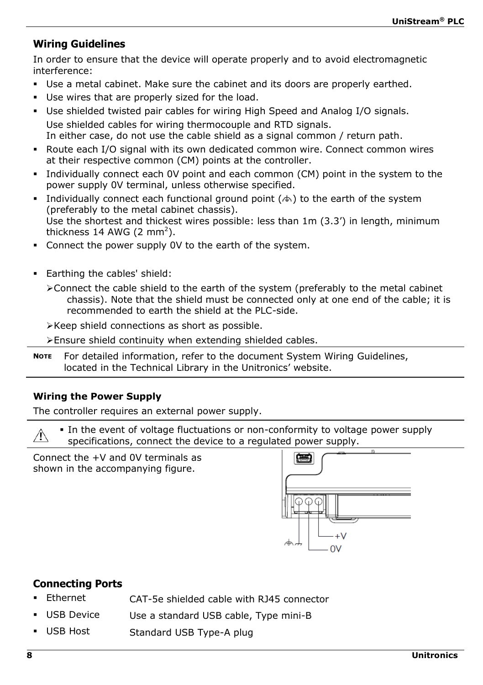# **Wiring Guidelines**

In order to ensure that the device will operate properly and to avoid electromagnetic interference:

- Use a metal cabinet. Make sure the cabinet and its doors are properly earthed.
- Use wires that are properly sized for the load.
- Use shielded twisted pair cables for wiring High Speed and Analog I/O signals. Use shielded cables for wiring thermocouple and RTD signals. In either case, do not use the cable shield as a signal common / return path.
- Route each I/O signal with its own dedicated common wire. Connect common wires at their respective common (CM) points at the controller.
- Individually connect each 0V point and each common (CM) point in the system to the power supply 0V terminal, unless otherwise specified.
- Individually connect each functional ground point  $(\triangle)$  to the earth of the system (preferably to the metal cabinet chassis). Use the shortest and thickest wires possible: less than 1m (3.3') in length, minimum thickness 14 AWG (2 mm<sup>2</sup>).
- Connect the power supply 0V to the earth of the system.
- Earthing the cables' shield:

Connect the cable shield to the earth of the system (preferably to the metal cabinet chassis). Note that the shield must be connected only at one end of the cable; it is recommended to earth the shield at the PLC-side.

Keep shield connections as short as possible.

Ensure shield continuity when extending shielded cables.

**NOTE** For detailed information, refer to the document System Wiring Guidelines, located in the Technical Library in the Unitronics' website.

## **Wiring the Power Supply**

The controller requires an external power supply.

In the event of voltage fluctuations or non-conformity to voltage power supply specifications, connect the device to a regulated power supply.

Connect the +V and 0V terminals as shown in the accompanying figure.



# **Connecting Ports**

- Ethernet CAT-5e shielded cable with RJ45 connector
- USB Device Use a standard USB cable, Type mini-B
- USB Host Standard USB Type-A plug

Æ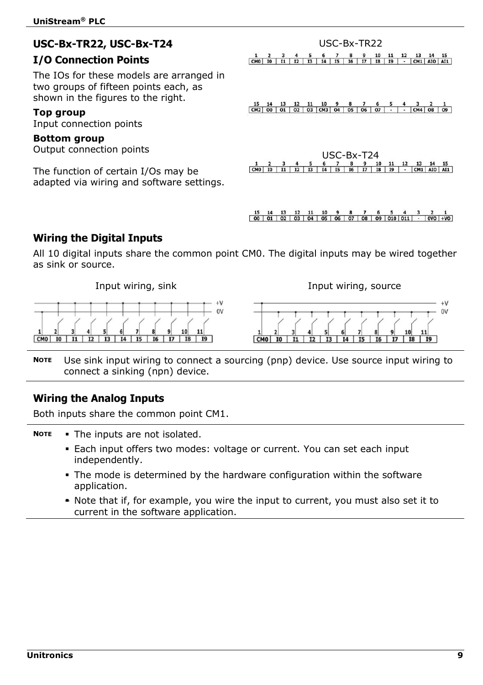# **USC-Bx-TR22, USC-Bx-T24**

# **I/O Connection Points**

The IOs for these models are arranged in two groups of fifteen points each, as shown in the figures to the right.

## **Top group**

Input connection points

## **Bottom group**

Output connection points

The function of certain I/Os may be adapted via wiring and software settings.

|  |  |  |  |  |  | 1 2 3 4 5 6 7 8 9 10 11 12 13 14 15 |  |
|--|--|--|--|--|--|-------------------------------------|--|
|  |  |  |  |  |  |                                     |  |

USC-Bx-TR22

 $\begin{array}{ccccccccc} 15 & 14 & 13 & 12 & 11 & 10 & 9 & 8 & 7 & 6 & 5 & 4 & 3 & 2 & 1 \\ \hline \text{CM2} & 00 & 01 & 02 & 03 & \text{CM3} & 04 & 05 & 06 & 07 & - & - & \text{CM4} & 08 & 09 \end{array}$ 

| $USC-Bx-T24$ |  |  |  |  |  |  |  |  |  |  |  |                                                                             |  |
|--------------|--|--|--|--|--|--|--|--|--|--|--|-----------------------------------------------------------------------------|--|
|              |  |  |  |  |  |  |  |  |  |  |  | 1 2 3 4 5 6 7 8 9 10 11 12 13 14 15                                         |  |
|              |  |  |  |  |  |  |  |  |  |  |  | $CMO$ $IO$ $I1$ $I2$ $I3$ $I4$ $I5$ $I6$ $I7$ $I8$ $I9$ $-ICM1$ $AIO$ $AII$ |  |

 $\begin{array}{ccccccccccccc}\n15 & 14 & 13 & 12 & 11 & 10 & 9 & 8 & 7 & 6 & 5 & 4 & 3 & 2 & 1 \\
\hline\n00 & 01 & 02 & 03 & 04 & 05 & 06 & 07 & 08 & 09 & 010 & 011 & - & 000 & +00\n\end{array}$ 

# **Wiring the Digital Inputs**

All 10 digital inputs share the common point CM0. The digital inputs may be wired together as sink or source.

 $\pm V$  $\sim$ CMO

Input wiring, sink Input wiring, source



**NOTE** Use sink input wiring to connect a sourcing (pnp) device. Use source input wiring to connect a sinking (npn) device.

## **Wiring the Analog Inputs**

Both inputs share the common point CM1.

- **NOTE** The inputs are not isolated.
	- Each input offers two modes: voltage or current. You can set each input independently.
	- The mode is determined by the hardware configuration within the software application.
	- \* Note that if, for example, you wire the input to current, you must also set it to current in the software application.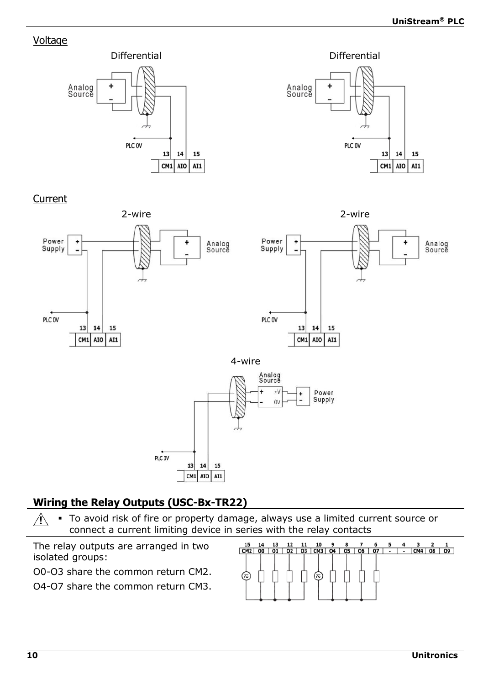# Voltage





Current



# **Wiring the Relay Outputs (USC-Bx-TR22)**

 $13$  $14$ 15  $CM1$  AIO AI1

 To avoid risk of fire or property damage, always use a limited current source or Л connect a current limiting device in series with the relay contacts

The relay outputs are arranged in two isolated groups:

O0-O3 share the common return CM2.

O4-O7 share the common return CM3.

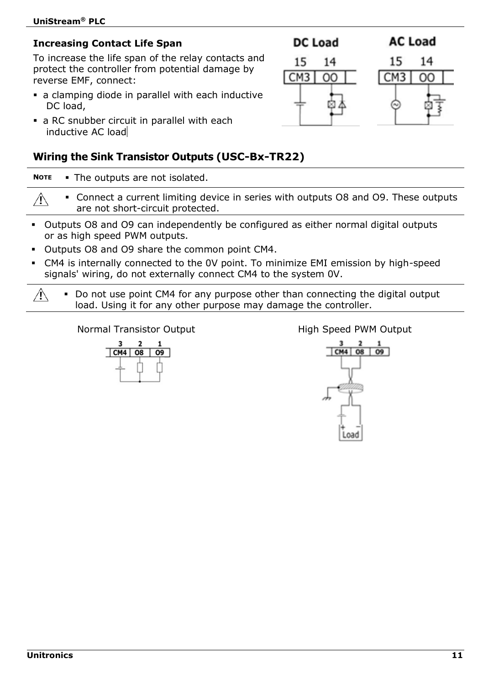# **Increasing Contact Life Span**

To increase the life span of the relay contacts and protect the controller from potential damage by reverse EMF, connect:

- a clamping diode in parallel with each inductive DC load.
- a RC snubber circuit in parallel with each inductive AC load

# **Wiring the Sink Transistor Outputs (USC-Bx-TR22)**

**NOTE** The outputs are not isolated.

- $\bigwedge$  Connect a current limiting device in series with outputs O8 and O9. These outputs are not short-circuit protected.
- Outputs O8 and O9 can independently be configured as either normal digital outputs or as high speed PWM outputs.
- Outputs O8 and O9 share the common point CM4.
- CM4 is internally connected to the 0V point. To minimize EMI emission by high-speed signals' wiring, do not externally connect CM4 to the system 0V.

 $\mathcal{A}$ Do not use point CM4 for any purpose other than connecting the digital output load. Using it for any other purpose may damage the controller.

# Normal Transistor Output **High Speed PWM Output**